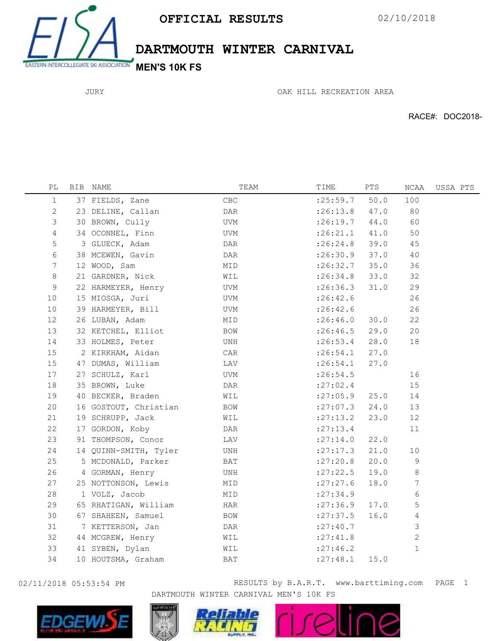

DARTMOUTH WINTER CARNIVAL

JURY

OAK HILL RECREATION AREA

RACE#: DOC2018-

| PL             | BIB NAME              | TEAM      | TIME       | PTS  | NCAA        | USSA PTS |
|----------------|-----------------------|-----------|------------|------|-------------|----------|
| 1              | 37 FIELDS, Zane       | CBC       | : 25:59.7  | 50.0 | 100         |          |
| 2              | 23 DELINE, Callan     | DAR       | :26:13.8   | 47.0 | 80          |          |
| 3              | 30 BROWN, Cully       | UVM       | :26:19.7   | 44.0 | 60          |          |
| $\overline{4}$ | 34 OCONNEL, Finn      | UVM       | :26:21.1   | 41.0 | 50          |          |
| 5              | 3 GLUECK, Adam        | DAR       | : 26:24.8  | 39.0 | 45          |          |
| 6              | 38 MCEWEN, Gavin      | DAR       | :26:30.9   | 37.0 | 40          |          |
| 7              | 12 WOOD, Sam          | MID       | : 26:32.7  | 35.0 | 36          |          |
| 8              | 21 GARDNER, Nick      | WIL       | : 26:34.8  | 33.0 | 32          |          |
| 9              | 22 HARMEYER, Henry    | UVM       | :26:36.3   | 31.0 | 29          |          |
| 10             | 15 MIOSGA, Juri       | UVM       | : 26:42.6  |      | 26          |          |
| 10             | 39 HARMEYER, Bill     | UVM       | : 26:42.6  |      | 26          |          |
| 12             | 26 LUBAN, Adam        | MID       | :26:46.0   | 30.0 | 22          |          |
| 13             | 32 KETCHEL, Elliot    | BOW       | :26:46.5   | 29.0 | 20          |          |
| 14             | 33 HOLMES, Peter      | UNH       | : 26:53.4  | 28.0 | 18          |          |
| 15             | 2 KIRKHAM, Aidan      | $\rm CAR$ | : 26:54.1  | 27.0 |             |          |
| 15             | 47 DUMAS, William     | LAV       | : 26:54.1  | 27.0 |             |          |
| 17             | 27 SCHULZ, Karl       | UVM       | : 26:54.5  |      | 16          |          |
| 18             | 35 BROWN, Luke        | DAR       | : 27:02.4  |      | 15          |          |
| 19             | 40 BECKER, Braden     | WIL       | :27:05.9   | 25.0 | 14          |          |
| 20             | 16 GOSTOUT, Christian | BOW       | : 27:07.3  | 24.0 | 13          |          |
| 21             | 19 SCHRUPP, Jack      | WIL       | : 27: 13.2 | 23.0 | 12          |          |
| 22             | 17 GORDON, Koby       | DAR       | : 27: 13.4 |      | 11          |          |
| 23             | 91 THOMPSON, Conor    | LAV       | : 27:14.0  | 22.0 |             |          |
| 24             | 14 QUINN-SMITH, Tyler | UNH       | : 27: 17.3 | 21.0 | 10          |          |
| 25             | 5 MCDONALD, Parker    | BAT       | : 27: 20.8 | 20.0 | 9           |          |
| 26             | 4 GORMAN, Henry       | UNH       | : 27: 22.5 | 19.0 | 8           |          |
| 27             | 25 NOTTONSON, Lewis   | MID       | : 27: 27.6 | 18.0 | 7           |          |
| 28             | 1 VOLZ, Jacob         | MID       | : 27:34.9  |      | 6           |          |
| 29             | 65 RHATIGAN, William  | HAR       | : 27:36.9  | 17.0 | 5           |          |
| 30             | 67 SHAHEEN, Samuel    | BOW       | : 27: 37.5 | 16.0 | 4           |          |
| 31             | 7 KETTERSON, Jan      | DAR       | : 27: 40.7 |      | 3           |          |
| 32             | 44 MCGREW, Henry      | WIL       | : 27: 41.8 |      | 2           |          |
| 33             | 41 SYBEN, Dylan       | WIL       | : 27:46.2  |      | $\mathbf 1$ |          |
| 34             | 10 HOUTSMA, Graham    | BAT       | : 27:48.1  | 15.0 |             |          |



02/11/2018 05:53:54 PM **RESULTS** by B.A.R.T. www.barttiming.com PAGE 1 DARTMOUTH WINTER CARNIVAL MEN'S 10K FS